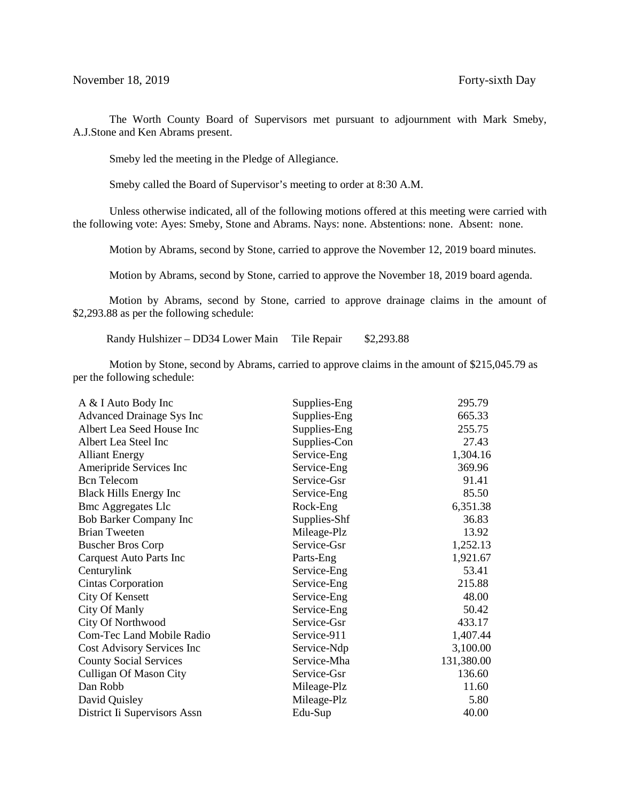The Worth County Board of Supervisors met pursuant to adjournment with Mark Smeby, A.J.Stone and Ken Abrams present.

Smeby led the meeting in the Pledge of Allegiance.

Smeby called the Board of Supervisor's meeting to order at 8:30 A.M.

Unless otherwise indicated, all of the following motions offered at this meeting were carried with the following vote: Ayes: Smeby, Stone and Abrams. Nays: none. Abstentions: none. Absent: none.

Motion by Abrams, second by Stone, carried to approve the November 12, 2019 board minutes.

Motion by Abrams, second by Stone, carried to approve the November 18, 2019 board agenda.

 Motion by Abrams, second by Stone, carried to approve drainage claims in the amount of \$2,293.88 as per the following schedule:

Randy Hulshizer – DD34 Lower Main Tile Repair \$2,293.88

Motion by Stone, second by Abrams, carried to approve claims in the amount of \$215,045.79 as per the following schedule:

| A & I Auto Body Inc              | Supplies-Eng | 295.79     |
|----------------------------------|--------------|------------|
| <b>Advanced Drainage Sys Inc</b> | Supplies-Eng | 665.33     |
| Albert Lea Seed House Inc        | Supplies-Eng | 255.75     |
| Albert Lea Steel Inc             | Supplies-Con | 27.43      |
| <b>Alliant Energy</b>            | Service-Eng  | 1,304.16   |
| Ameripride Services Inc          | Service-Eng  | 369.96     |
| <b>Bcn</b> Telecom               | Service-Gsr  | 91.41      |
| <b>Black Hills Energy Inc</b>    | Service-Eng  | 85.50      |
| <b>Bmc Aggregates Llc</b>        | Rock-Eng     | 6,351.38   |
| Bob Barker Company Inc           | Supplies-Shf | 36.83      |
| <b>Brian Tweeten</b>             | Mileage-Plz  | 13.92      |
| <b>Buscher Bros Corp</b>         | Service-Gsr  | 1,252.13   |
| Carquest Auto Parts Inc          | Parts-Eng    | 1,921.67   |
| Centurylink                      | Service-Eng  | 53.41      |
| Cintas Corporation               | Service-Eng  | 215.88     |
| <b>City Of Kensett</b>           | Service-Eng  | 48.00      |
| City Of Manly                    | Service-Eng  | 50.42      |
| City Of Northwood                | Service-Gsr  | 433.17     |
| <b>Com-Tec Land Mobile Radio</b> | Service-911  | 1,407.44   |
| Cost Advisory Services Inc       | Service-Ndp  | 3,100.00   |
| <b>County Social Services</b>    | Service-Mha  | 131,380.00 |
| <b>Culligan Of Mason City</b>    | Service-Gsr  | 136.60     |
| Dan Robb                         | Mileage-Plz  | 11.60      |
| David Quisley                    | Mileage-Plz  | 5.80       |
| District Ii Supervisors Assn     | Edu-Sup      | 40.00      |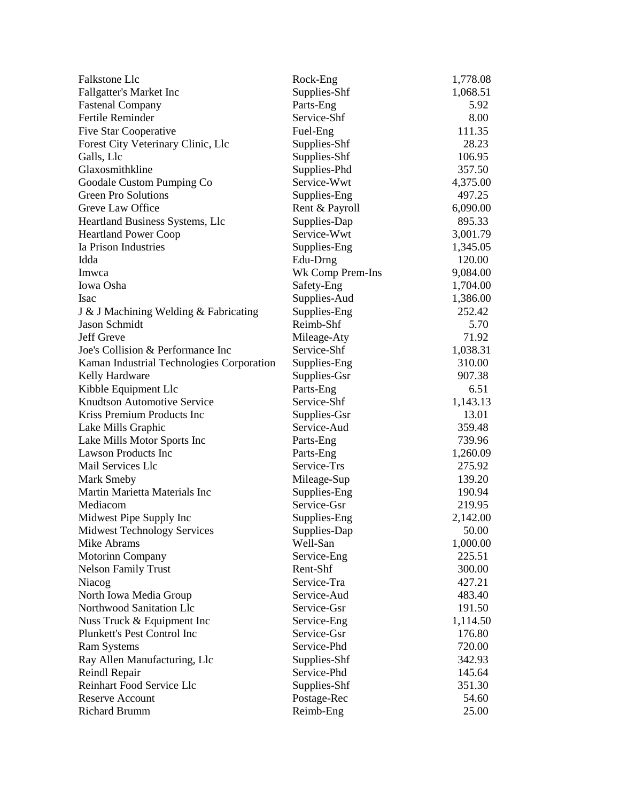| Falkstone Llc                                              | Rock-Eng                 | 1,778.08 |
|------------------------------------------------------------|--------------------------|----------|
| <b>Fallgatter's Market Inc</b>                             | Supplies-Shf             | 1,068.51 |
| <b>Fastenal Company</b>                                    | Parts-Eng                | 5.92     |
| Fertile Reminder                                           | Service-Shf              | 8.00     |
| <b>Five Star Cooperative</b>                               | Fuel-Eng                 | 111.35   |
| Forest City Veterinary Clinic, Llc                         | Supplies-Shf             | 28.23    |
| Galls, Llc                                                 | Supplies-Shf             | 106.95   |
| Glaxosmithkline                                            | Supplies-Phd             | 357.50   |
| Goodale Custom Pumping Co                                  | Service-Wwt              | 4,375.00 |
| <b>Green Pro Solutions</b>                                 | Supplies-Eng             | 497.25   |
| Greve Law Office                                           | Rent & Payroll           | 6,090.00 |
| Heartland Business Systems, Llc                            | Supplies-Dap             | 895.33   |
| <b>Heartland Power Coop</b>                                | Service-Wwt              | 3,001.79 |
| Ia Prison Industries                                       | Supplies-Eng             | 1,345.05 |
| Idda                                                       | Edu-Drng                 | 120.00   |
| Imwca                                                      | Wk Comp Prem-Ins         | 9,084.00 |
| Iowa Osha                                                  | Safety-Eng               | 1,704.00 |
| Isac                                                       | Supplies-Aud             | 1,386.00 |
| J & J Machining Welding & Fabricating                      | Supplies-Eng             | 252.42   |
| Jason Schmidt                                              | Reimb-Shf                | 5.70     |
| Jeff Greve                                                 | Mileage-Aty              | 71.92    |
| Joe's Collision & Performance Inc                          | Service-Shf              | 1,038.31 |
| Kaman Industrial Technologies Corporation                  | Supplies-Eng             | 310.00   |
|                                                            |                          | 907.38   |
| Kelly Hardware                                             | Supplies-Gsr             | 6.51     |
| Kibble Equipment Llc<br><b>Knudtson Automotive Service</b> | Parts-Eng<br>Service-Shf |          |
| Kriss Premium Products Inc                                 |                          | 1,143.13 |
|                                                            | Supplies-Gsr             | 13.01    |
| Lake Mills Graphic                                         | Service-Aud              | 359.48   |
| Lake Mills Motor Sports Inc                                | Parts-Eng                | 739.96   |
| <b>Lawson Products Inc</b>                                 | Parts-Eng                | 1,260.09 |
| Mail Services Llc                                          | Service-Trs              | 275.92   |
| <b>Mark Smeby</b>                                          | Mileage-Sup              | 139.20   |
| Martin Marietta Materials Inc                              | Supplies-Eng             | 190.94   |
| Mediacom                                                   | Service-Gsr              | 219.95   |
| Midwest Pipe Supply Inc                                    | Supplies-Eng             | 2,142.00 |
| <b>Midwest Technology Services</b>                         | Supplies-Dap             | 50.00    |
| Mike Abrams                                                | Well-San                 | 1,000.00 |
| Motorinn Company                                           | Service-Eng              | 225.51   |
| <b>Nelson Family Trust</b>                                 | Rent-Shf                 | 300.00   |
| Niacog                                                     | Service-Tra              | 427.21   |
| North Iowa Media Group                                     | Service-Aud              | 483.40   |
| Northwood Sanitation Llc                                   | Service-Gsr              | 191.50   |
| Nuss Truck & Equipment Inc                                 | Service-Eng              | 1,114.50 |
| Plunkett's Pest Control Inc                                | Service-Gsr              | 176.80   |
| <b>Ram Systems</b>                                         | Service-Phd              | 720.00   |
| Ray Allen Manufacturing, Llc                               | Supplies-Shf             | 342.93   |
| Reindl Repair                                              | Service-Phd              | 145.64   |
| Reinhart Food Service Llc                                  | Supplies-Shf             | 351.30   |
| <b>Reserve Account</b>                                     | Postage-Rec              | 54.60    |
| <b>Richard Brumm</b>                                       | Reimb-Eng                | 25.00    |